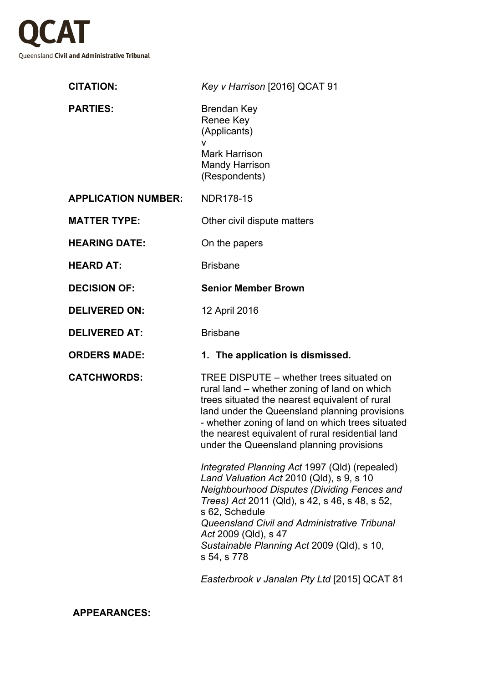

| <b>CITATION:</b>           | Key v Harrison [2016] QCAT 91                                                                                                                                                                                                                                                                                                                     |
|----------------------------|---------------------------------------------------------------------------------------------------------------------------------------------------------------------------------------------------------------------------------------------------------------------------------------------------------------------------------------------------|
| <b>PARTIES:</b>            | <b>Brendan Key</b><br><b>Renee Key</b><br>(Applicants)<br>V<br><b>Mark Harrison</b><br><b>Mandy Harrison</b>                                                                                                                                                                                                                                      |
|                            | (Respondents)                                                                                                                                                                                                                                                                                                                                     |
| <b>APPLICATION NUMBER:</b> | <b>NDR178-15</b>                                                                                                                                                                                                                                                                                                                                  |
| <b>MATTER TYPE:</b>        | Other civil dispute matters                                                                                                                                                                                                                                                                                                                       |
| <b>HEARING DATE:</b>       | On the papers                                                                                                                                                                                                                                                                                                                                     |
| <b>HEARD AT:</b>           | <b>Brisbane</b>                                                                                                                                                                                                                                                                                                                                   |
| <b>DECISION OF:</b>        | <b>Senior Member Brown</b>                                                                                                                                                                                                                                                                                                                        |
| <b>DELIVERED ON:</b>       | 12 April 2016                                                                                                                                                                                                                                                                                                                                     |
| <b>DELIVERED AT:</b>       | <b>Brisbane</b>                                                                                                                                                                                                                                                                                                                                   |
| <b>ORDERS MADE:</b>        | 1. The application is dismissed.                                                                                                                                                                                                                                                                                                                  |
| <b>CATCHWORDS:</b>         | TREE DISPUTE – whether trees situated on<br>rural land – whether zoning of land on which<br>trees situated the nearest equivalent of rural<br>land under the Queensland planning provisions<br>- whether zoning of land on which trees situated<br>the nearest equivalent of rural residential land<br>under the Queensland planning provisions   |
|                            | Integrated Planning Act 1997 (Qld) (repealed)<br>Land Valuation Act 2010 (Qld), s 9, s 10<br>Neighbourhood Disputes (Dividing Fences and<br>Trees) Act 2011 (Qld), s 42, s 46, s 48, s 52,<br>s 62, Schedule<br>Queensland Civil and Administrative Tribunal<br>Act 2009 (Qld), s 47<br>Sustainable Planning Act 2009 (Qld), s 10,<br>s 54, s 778 |
|                            | $h$ real $\leftrightarrow$ Lengler Dt $\leftrightarrow$ Let $SO(15)$ OCAT 01                                                                                                                                                                                                                                                                      |

*Easterbrook v Janalan Pty Ltd* [2015] QCAT 81

**APPEARANCES:**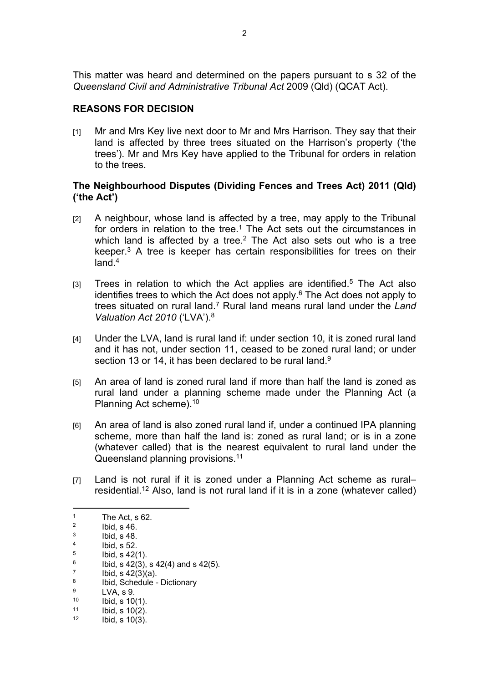This matter was heard and determined on the papers pursuant to s 32 of the *Queensland Civil and Administrative Tribunal Act* 2009 (Qld) (QCAT Act).

# **REASONS FOR DECISION**

[1] Mr and Mrs Key live next door to Mr and Mrs Harrison. They say that their land is affected by three trees situated on the Harrison's property ('the trees'). Mr and Mrs Key have applied to the Tribunal for orders in relation to the trees.

## **The Neighbourhood Disputes (Dividing Fences and Trees Act) 2011 (Qld) ('the Act')**

- [2] A neighbour, whose land is affected by a tree, may apply to the Tribunal for orders in relation to the tree.<sup>1</sup> The Act sets out the circumstances in which land is affected by a tree. $2$  The Act also sets out who is a tree keeper.<sup>3</sup> A tree is keeper has certain responsibilities for trees on their land.<sup>4</sup>
- $[3]$  Trees in relation to which the Act applies are identified.<sup>5</sup> The Act also identifies trees to which the Act does not apply.<sup>6</sup> The Act does not apply to trees situated on rural land.<sup>7</sup> Rural land means rural land under the Land *Valuation Act 2010* ('LVA').<sup>8</sup>
- [4] Under the LVA, land is rural land if: under section 10, it is zoned rural land and it has not, under section 11, ceased to be zoned rural land; or under section 13 or 14, it has been declared to be rural land.<sup>9</sup>
- [5] An area of land is zoned rural land if more than half the land is zoned as rural land under a planning scheme made under the Planning Act (a Planning Act scheme).<sup>10</sup>
- [6] An area of land is also zoned rural land if, under a continued IPA planning scheme, more than half the land is: zoned as rural land; or is in a zone (whatever called) that is the nearest equivalent to rural land under the Queensland planning provisions.<sup>11</sup>
- [7] Land is not rural if it is zoned under a Planning Act scheme as rural– residential.<sup>12</sup> Also, land is not rural land if it is in a zone (whatever called)

 Ibid, s 42(3)(a). 8

- $\frac{9}{10}$  LVA, s 9.
- $10$  Ibid, s 10(1).<br> $11$  Ibid, s 10(2).

<sup>1</sup> The Act, s 62.

<sup>2</sup> Ibid, s 46. 3

Ibid, s 48. 4

Ibid, s 52. 5

Ibid, s 42(1). 6

Ibid, s  $42(3)$ , s  $42(4)$  and s  $42(5)$ . 7

Ibid, Schedule - Dictionary 9

 $11$  Ibid, s  $10(2)$ .<br> $12$  Ibid, s  $10(3)$ . Ibid, s  $10(3)$ .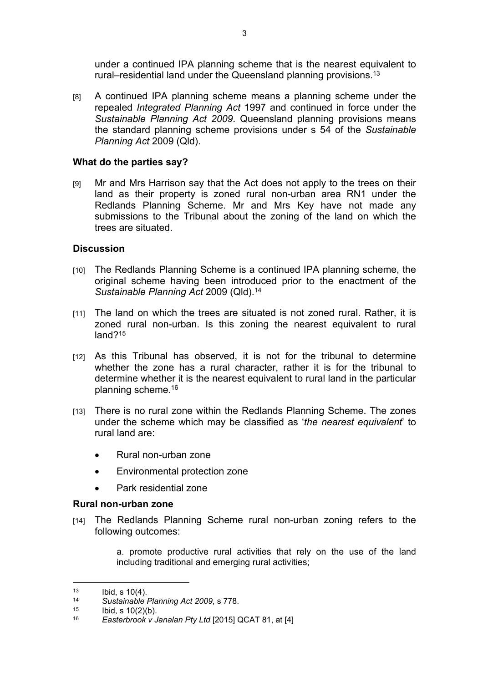under a continued IPA planning scheme that is the nearest equivalent to rural–residential land under the Queensland planning provisions.<sup>13</sup>

[8] A continued IPA planning scheme means a planning scheme under the repealed *Integrated Planning Act* 1997 and continued in force under the *Sustainable Planning Act 2009*. Queensland planning provisions means the standard planning scheme provisions under s 54 of the *Sustainable Planning Act* 2009 (Qld).

## **What do the parties say?**

[9] Mr and Mrs Harrison say that the Act does not apply to the trees on their land as their property is zoned rural non-urban area RN1 under the Redlands Planning Scheme. Mr and Mrs Key have not made any submissions to the Tribunal about the zoning of the land on which the trees are situated.

## **Discussion**

- [10] The Redlands Planning Scheme is a continued IPA planning scheme, the original scheme having been introduced prior to the enactment of the *Sustainable Planning Act* 2009 (Qld).<sup>14</sup>
- [11] The land on which the trees are situated is not zoned rural. Rather, it is zoned rural non-urban. Is this zoning the nearest equivalent to rural land?<sup>15</sup>
- [12] As this Tribunal has observed, it is not for the tribunal to determine whether the zone has a rural character, rather it is for the tribunal to determine whether it is the nearest equivalent to rural land in the particular planning scheme.<sup>16</sup>
- [13] There is no rural zone within the Redlands Planning Scheme. The zones under the scheme which may be classified as '*the nearest equivalent*' to rural land are:
	- Rural non-urban zone
	- Environmental protection zone
	- Park residential zone

### **Rural non-urban zone**

[14] The Redlands Planning Scheme rural non-urban zoning refers to the following outcomes:

> a. promote productive rural activities that rely on the use of the land including traditional and emerging rural activities;

 $13$  Ibid, s 10(4).

<sup>14</sup> *Sustainable Planning Act 2009*, s 778.

<sup>&</sup>lt;sup>15</sup> Ibid, s 10(2)(b).<br><sup>16</sup> Easterbrook v

<sup>16</sup> *Easterbrook v Janalan Pty Ltd* [2015] QCAT 81, at [4]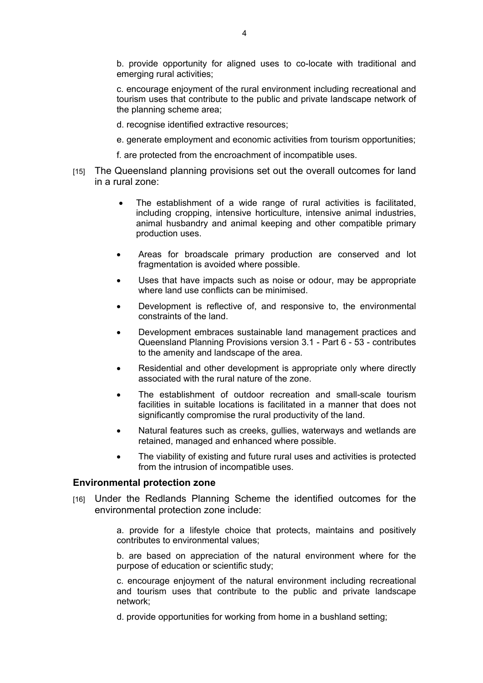b. provide opportunity for aligned uses to co-locate with traditional and emerging rural activities;

c. encourage enjoyment of the rural environment including recreational and tourism uses that contribute to the public and private landscape network of the planning scheme area;

- d. recognise identified extractive resources;
- e. generate employment and economic activities from tourism opportunities;
- f. are protected from the encroachment of incompatible uses.
- [15] The Queensland planning provisions set out the overall outcomes for land in a rural zone:
	- The establishment of a wide range of rural activities is facilitated, including cropping, intensive horticulture, intensive animal industries, animal husbandry and animal keeping and other compatible primary production uses.
	- Areas for broadscale primary production are conserved and lot fragmentation is avoided where possible.
	- Uses that have impacts such as noise or odour, may be appropriate where land use conflicts can be minimised.
	- Development is reflective of, and responsive to, the environmental constraints of the land.
	- Development embraces sustainable land management practices and Queensland Planning Provisions version 3.1 - Part 6 - 53 - contributes to the amenity and landscape of the area.
	- Residential and other development is appropriate only where directly associated with the rural nature of the zone.
	- The establishment of outdoor recreation and small-scale tourism facilities in suitable locations is facilitated in a manner that does not significantly compromise the rural productivity of the land.
	- Natural features such as creeks, gullies, waterways and wetlands are retained, managed and enhanced where possible.
	- The viability of existing and future rural uses and activities is protected from the intrusion of incompatible uses.

#### **Environmental protection zone**

[16] Under the Redlands Planning Scheme the identified outcomes for the environmental protection zone include:

> a. provide for a lifestyle choice that protects, maintains and positively contributes to environmental values;

> b. are based on appreciation of the natural environment where for the purpose of education or scientific study;

> c. encourage enjoyment of the natural environment including recreational and tourism uses that contribute to the public and private landscape network;

d. provide opportunities for working from home in a bushland setting;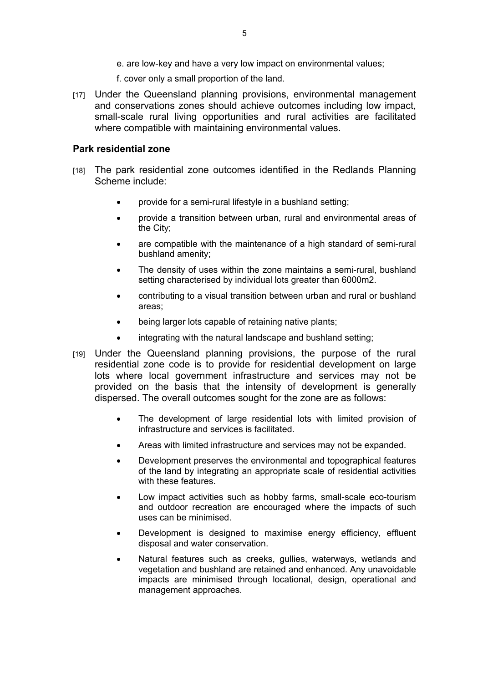- e. are low-key and have a very low impact on environmental values;
- f. cover only a small proportion of the land.
- [17] Under the Queensland planning provisions, environmental management and conservations zones should achieve outcomes including low impact, small-scale rural living opportunities and rural activities are facilitated where compatible with maintaining environmental values.

### **Park residential zone**

- [18] The park residential zone outcomes identified in the Redlands Planning Scheme include:
	- provide for a semi-rural lifestyle in a bushland setting;
	- provide a transition between urban, rural and environmental areas of the City;
	- are compatible with the maintenance of a high standard of semi-rural bushland amenity;
	- The density of uses within the zone maintains a semi-rural, bushland setting characterised by individual lots greater than 6000m2.
	- contributing to a visual transition between urban and rural or bushland areas;
	- being larger lots capable of retaining native plants;
	- integrating with the natural landscape and bushland setting;
- [19] Under the Queensland planning provisions, the purpose of the rural residential zone code is to provide for residential development on large lots where local government infrastructure and services may not be provided on the basis that the intensity of development is generally dispersed. The overall outcomes sought for the zone are as follows:
	- The development of large residential lots with limited provision of infrastructure and services is facilitated.
	- Areas with limited infrastructure and services may not be expanded.
	- Development preserves the environmental and topographical features of the land by integrating an appropriate scale of residential activities with these features.
	- Low impact activities such as hobby farms, small-scale eco-tourism and outdoor recreation are encouraged where the impacts of such uses can be minimised.
	- Development is designed to maximise energy efficiency, effluent disposal and water conservation.
	- Natural features such as creeks, gullies, waterways, wetlands and vegetation and bushland are retained and enhanced. Any unavoidable impacts are minimised through locational, design, operational and management approaches.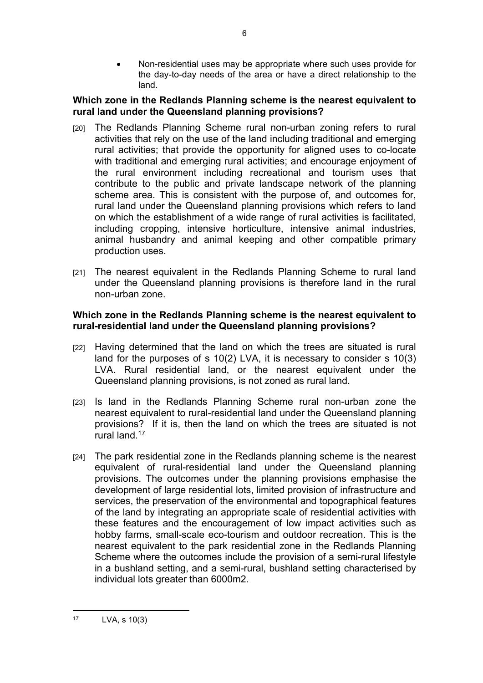Non-residential uses may be appropriate where such uses provide for the day-to-day needs of the area or have a direct relationship to the land.

## **Which zone in the Redlands Planning scheme is the nearest equivalent to rural land under the Queensland planning provisions?**

- [20] The Redlands Planning Scheme rural non-urban zoning refers to rural activities that rely on the use of the land including traditional and emerging rural activities; that provide the opportunity for aligned uses to co-locate with traditional and emerging rural activities; and encourage enjoyment of the rural environment including recreational and tourism uses that contribute to the public and private landscape network of the planning scheme area. This is consistent with the purpose of, and outcomes for, rural land under the Queensland planning provisions which refers to land on which the establishment of a wide range of rural activities is facilitated, including cropping, intensive horticulture, intensive animal industries, animal husbandry and animal keeping and other compatible primary production uses.
- [21] The nearest equivalent in the Redlands Planning Scheme to rural land under the Queensland planning provisions is therefore land in the rural non-urban zone.

## **Which zone in the Redlands Planning scheme is the nearest equivalent to rural-residential land under the Queensland planning provisions?**

- [22] Having determined that the land on which the trees are situated is rural land for the purposes of s 10(2) LVA, it is necessary to consider s 10(3) LVA. Rural residential land, or the nearest equivalent under the Queensland planning provisions, is not zoned as rural land.
- [23] Is land in the Redlands Planning Scheme rural non-urban zone the nearest equivalent to rural-residential land under the Queensland planning provisions? If it is, then the land on which the trees are situated is not rural land.<sup>17</sup>
- [24] The park residential zone in the Redlands planning scheme is the nearest equivalent of rural-residential land under the Queensland planning provisions. The outcomes under the planning provisions emphasise the development of large residential lots, limited provision of infrastructure and services, the preservation of the environmental and topographical features of the land by integrating an appropriate scale of residential activities with these features and the encouragement of low impact activities such as hobby farms, small-scale eco-tourism and outdoor recreation. This is the nearest equivalent to the park residential zone in the Redlands Planning Scheme where the outcomes include the provision of a semi-rural lifestyle in a bushland setting, and a semi-rural, bushland setting characterised by individual lots greater than 6000m2.

<sup>17</sup> LVA, s 10(3)